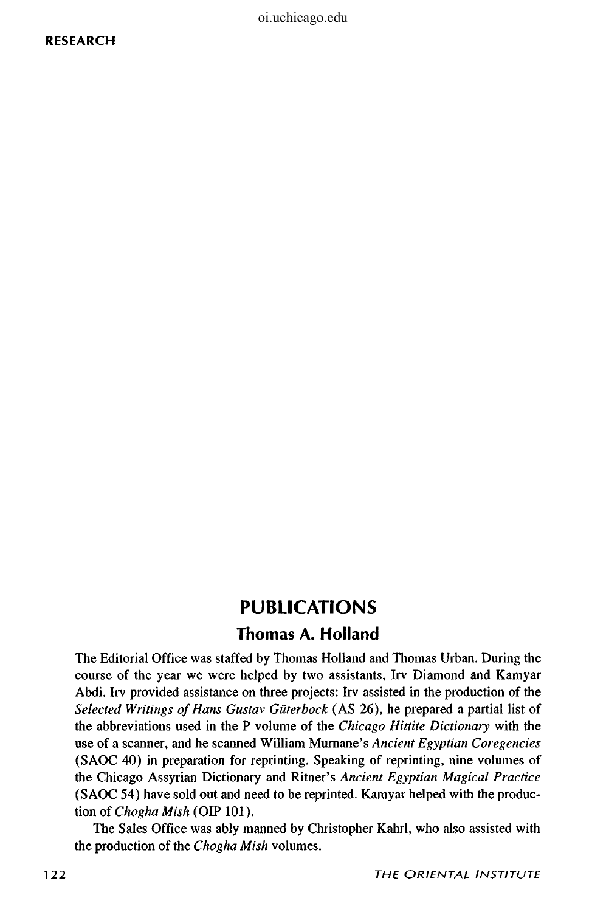oi.uchicago.edu

#### **RESEARCH**

# **PUBLICATIONS Thomas A. Holland**

The Editorial Office was staffed by Thomas Holland and Thomas Urban. During the course of the year we were helped by two assistants, Irv Diamond and Kamyar Abdi. Irv provided assistance on three projects: Irv assisted in the production of the *Selected Writings of Hans Gustav GUterbock* (AS 26), he prepared a partial list of the abbreviations used in the P volume of the *Chicago Hittite Dictionary* with the use of a scanner, and he scanned William Murnane's *Ancient Egyptian Coregencies*  (SAOC 40) in preparation for reprinting. Speaking of reprinting, nine volumes of the Chicago Assyrian Dictionary and Rimer's *Ancient Egyptian Magical Practice*  (SAOC 54) have sold out and need to be reprinted. Kamyar helped with the production of *Chogha Mish* (OIP 101).

The Sales Office was ably manned by Christopher Kahrl, who also assisted with the production of the *Chogha Mish* volumes.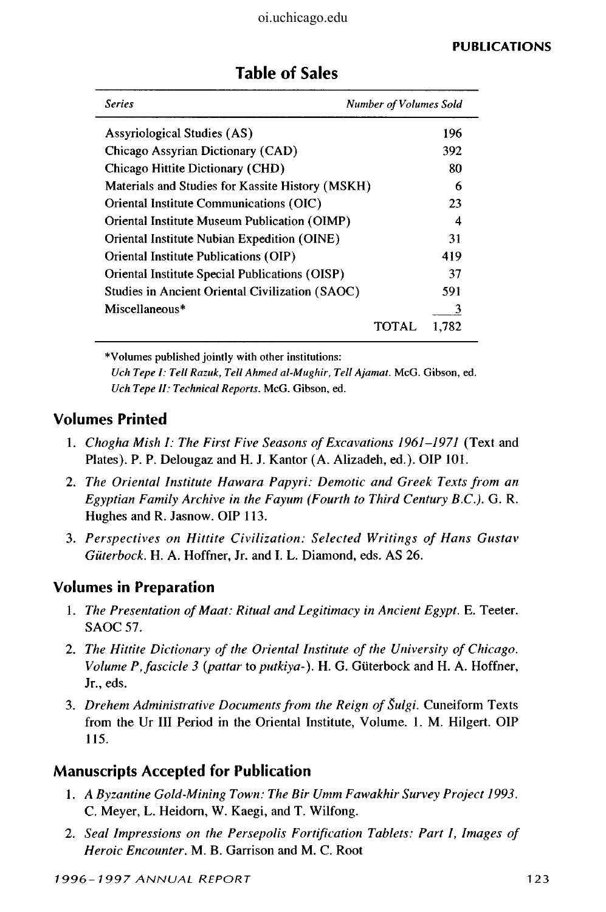| Series                                           | <b>Number of Volumes Sold</b> |
|--------------------------------------------------|-------------------------------|
| Assyriological Studies (AS)                      | 196                           |
| Chicago Assyrian Dictionary (CAD)                | 392                           |
| Chicago Hittite Dictionary (CHD)                 | 80                            |
| Materials and Studies for Kassite History (MSKH) | 6                             |
| Oriental Institute Communications (OIC)          | 23                            |
| Oriental Institute Museum Publication (OIMP)     | 4                             |
| Oriental Institute Nubian Expedition (OINE)      | 31                            |
| Oriental Institute Publications (OIP)            | 419                           |
| Oriental Institute Special Publications (OISP)   | 37                            |
| Studies in Ancient Oriental Civilization (SAOC)  | 591                           |
| Miscellaneous*                                   | 3                             |
|                                                  | 1.782<br>TOTAI                |

## **Table of Sales**

\* Volumes published jointly with other institutions: *Uch Tepe I: Tell Razuk, Tell Ahmed al-Mughir, Tell Ajamat.* McG. Gibson, ed. *Uch Tepe II: Technical Reports.* McG. Gibson, ed.

#### **Volumes Printed**

- 1. *Chogha Mish I: The First Five Seasons of Excavations 1961-1971* (Text and Plates). P. P. Delougaz and H. J. Kantor (A. Alizadeh, ed.). OIP 101.
- 2. *The Oriental Institute Hawara Papyri: Demotic and Greek Texts from an Egyptian Family Archive in the Fayum (Fourth to Third Century B.C.).* G. R. Hughes and R. Jasnow. OIP 113.
- 3. *Perspectives on Hittite Civilization: Selected Writings of Hans Gustav Guterbock.* H. A. Hoffner, Jr. and I. L. Diamond, eds. AS 26.

## **Volumes in Preparation**

- 1. *The Presentation of Maat: Ritual and Legitimacy in Ancient Egypt.* E. Teeter. SAOC 57.
- 2. *The Hittite Dictionary of the Oriental Institute of the University of Chicago. Volume P, fascicle 3 (pattar* to *putkiya-).* H. G. Guterbock and H. A. Hoffner, Jr., eds.
- 3. *Drehem Administrative Documents from the Reign of Sulgi.* Cuneiform Texts from the Ur III Period in the Oriental Institute, Volume. 1. M. Hilgert. OIP 115.

## **Manuscripts Accepted for Publication**

- 1. *A Byzantine Gold-Mining Town: The Bir Umm Fawakhir Survey Project 1993.*  C. Meyer, L. Heidorn, W. Kaegi, and T. Wilfong.
- 2. *Seal Impressions on the Persepolis Fortification Tablets: Part* /, *Images of Heroic Encounter.* M. B. Garrison and M. C. Root